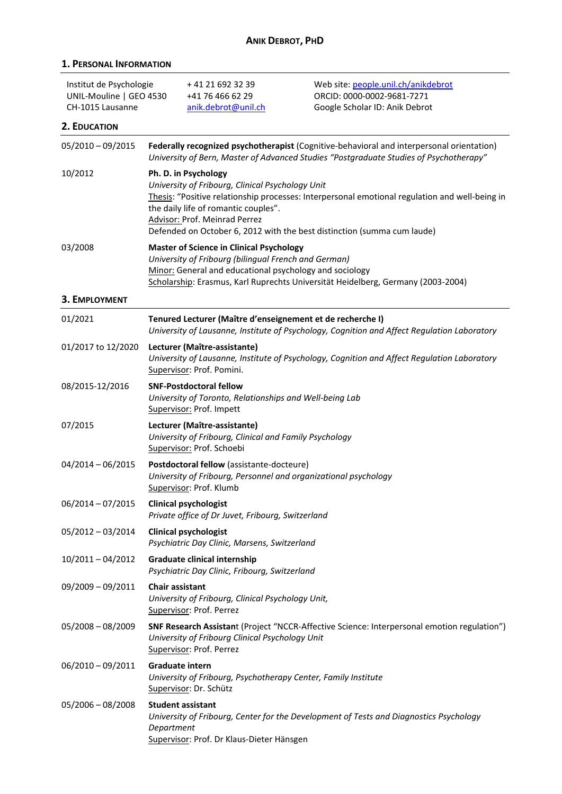| <b>ANIK DEBROT, PHD</b>                                                |                                                                                                                                                                                                                                                        |                                                                                                                                                   |                                                                                                                                                                           |
|------------------------------------------------------------------------|--------------------------------------------------------------------------------------------------------------------------------------------------------------------------------------------------------------------------------------------------------|---------------------------------------------------------------------------------------------------------------------------------------------------|---------------------------------------------------------------------------------------------------------------------------------------------------------------------------|
| <b>1. PERSONAL INFORMATION</b>                                         |                                                                                                                                                                                                                                                        |                                                                                                                                                   |                                                                                                                                                                           |
| Institut de Psychologie<br>UNIL-Mouline   GEO 4530<br>CH-1015 Lausanne |                                                                                                                                                                                                                                                        | +41 21 692 32 39<br>+41 76 466 62 29<br>anik.debrot@unil.ch                                                                                       | Web site: people.unil.ch/anikdebrot<br>ORCID: 0000-0002-9681-7271<br>Google Scholar ID: Anik Debrot                                                                       |
| 2. EDUCATION                                                           |                                                                                                                                                                                                                                                        |                                                                                                                                                   | Federally recognized psychotherapist (Cognitive-behavioral and interpersonal orientation)                                                                                 |
| $05/2010 - 09/2015$                                                    |                                                                                                                                                                                                                                                        |                                                                                                                                                   | University of Bern, Master of Advanced Studies "Postgraduate Studies of Psychotherapy"                                                                                    |
| 10/2012                                                                |                                                                                                                                                                                                                                                        | Ph. D. in Psychology<br>University of Fribourg, Clinical Psychology Unit<br>the daily life of romantic couples".<br>Advisor: Prof. Meinrad Perrez | Thesis: "Positive relationship processes: Interpersonal emotional regulation and well-being in<br>Defended on October 6, 2012 with the best distinction (summa cum laude) |
| 03/2008                                                                | <b>Master of Science in Clinical Psychology</b><br>University of Fribourg (bilingual French and German)<br>Minor: General and educational psychology and sociology<br>Scholarship: Erasmus, Karl Ruprechts Universität Heidelberg, Germany (2003-2004) |                                                                                                                                                   |                                                                                                                                                                           |
| 3. EMPLOYMENT                                                          |                                                                                                                                                                                                                                                        |                                                                                                                                                   |                                                                                                                                                                           |
| 01/2021                                                                |                                                                                                                                                                                                                                                        | Tenured Lecturer (Maître d'enseignement et de recherche I)                                                                                        | University of Lausanne, Institute of Psychology, Cognition and Affect Regulation Laboratory                                                                               |
| 01/2017 to 12/2020                                                     |                                                                                                                                                                                                                                                        | Lecturer (Maître-assistante)<br>Supervisor: Prof. Pomini.                                                                                         | University of Lausanne, Institute of Psychology, Cognition and Affect Regulation Laboratory                                                                               |
| 08/2015-12/2016                                                        |                                                                                                                                                                                                                                                        | <b>SNF-Postdoctoral fellow</b><br>University of Toronto, Relationships and Well-being Lab<br>Supervisor: Prof. Impett                             |                                                                                                                                                                           |
| 07/2015                                                                |                                                                                                                                                                                                                                                        | Lecturer (Maître-assistante)<br>University of Fribourg, Clinical and Family Psychology<br>Supervisor: Prof. Schoebi                               |                                                                                                                                                                           |
| $04/2014 - 06/2015$                                                    |                                                                                                                                                                                                                                                        | Postdoctoral fellow (assistante-docteure)<br>University of Fribourg, Personnel and organizational psychology<br>Supervisor: Prof. Klumb           |                                                                                                                                                                           |
| $06/2014 - 07/2015$                                                    |                                                                                                                                                                                                                                                        | <b>Clinical psychologist</b><br>Private office of Dr Juvet, Fribourg, Switzerland                                                                 |                                                                                                                                                                           |
| 05/2012 - 03/2014                                                      |                                                                                                                                                                                                                                                        | <b>Clinical psychologist</b><br>Psychiatric Day Clinic, Marsens, Switzerland                                                                      |                                                                                                                                                                           |
| 10/2011-04/2012                                                        |                                                                                                                                                                                                                                                        | <b>Graduate clinical internship</b>                                                                                                               |                                                                                                                                                                           |

*Psychiatric Day Clinic, Fribourg, Switzerland* 09/2009 – 09/2011 **Chair assistant**

*University of Fribourg, Clinical Psychology Unit,* Supervisor: Prof. Perrez

05/2008 – 08/2009 **SNF Research Assistan**t (Project "NCCR-Affective Science: Interpersonal emotion regulation") *University of Fribourg Clinical Psychology Unit* Supervisor: Prof. Perrez

06/2010 – 09/2011 **Graduate intern** *University of Fribourg, Psychotherapy Center, Family Institute*  Supervisor: Dr. Schütz

# 05/2006 – 08/2008 **Student assistant** *University of Fribourg, Center for the Development of Tests and Diagnostics Psychology Department*  Supervisor: Prof. Dr Klaus-Dieter Hänsgen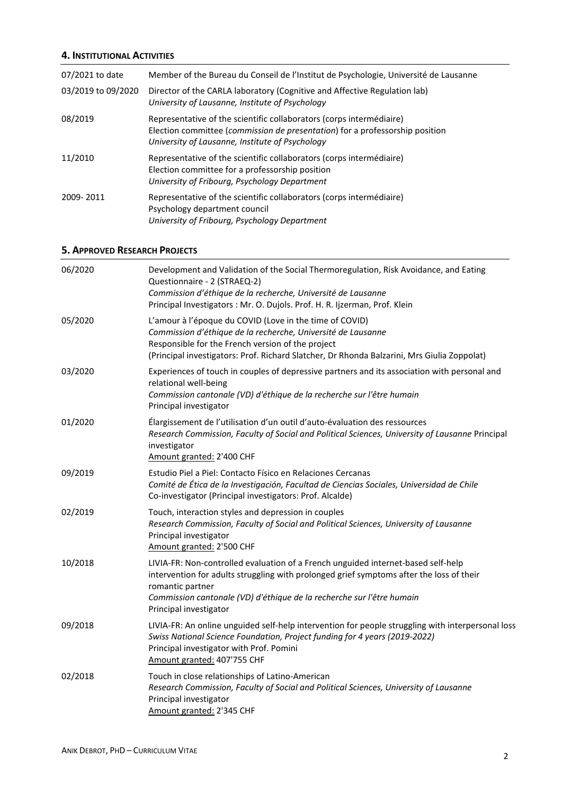## **4. INSTITUTIONAL ACTIVITIES**

| 07/2021 to date    | Member of the Bureau du Conseil de l'Institut de Psychologie, Université de Lausanne                                                                                                                    |
|--------------------|---------------------------------------------------------------------------------------------------------------------------------------------------------------------------------------------------------|
| 03/2019 to 09/2020 | Director of the CARLA laboratory (Cognitive and Affective Regulation lab)<br>University of Lausanne, Institute of Psychology                                                                            |
| 08/2019            | Representative of the scientific collaborators (corps intermédiaire)<br>Election committee (commission de presentation) for a professorship position<br>University of Lausanne, Institute of Psychology |
| 11/2010            | Representative of the scientific collaborators (corps intermédiaire)<br>Election committee for a professorship position<br>University of Fribourg, Psychology Department                                |
| 2009-2011          | Representative of the scientific collaborators (corps intermédiaire)<br>Psychology department council<br>University of Fribourg, Psychology Department                                                  |

# **5. APPROVED RESEARCH PROJECTS**

| 06/2020 | Development and Validation of the Social Thermoregulation, Risk Avoidance, and Eating<br>Questionnaire - 2 (STRAEQ-2)<br>Commission d'éthique de la recherche, Université de Lausanne<br>Principal Investigators : Mr. O. Dujols. Prof. H. R. Ijzerman, Prof. Klein                                  |
|---------|------------------------------------------------------------------------------------------------------------------------------------------------------------------------------------------------------------------------------------------------------------------------------------------------------|
| 05/2020 | L'amour à l'époque du COVID (Love in the time of COVID)<br>Commission d'éthique de la recherche, Université de Lausanne<br>Responsible for the French version of the project<br>(Principal investigators: Prof. Richard Slatcher, Dr Rhonda Balzarini, Mrs Giulia Zoppolat)                          |
| 03/2020 | Experiences of touch in couples of depressive partners and its association with personal and<br>relational well-being<br>Commission cantonale (VD) d'éthique de la recherche sur l'être humain<br>Principal investigator                                                                             |
| 01/2020 | Élargissement de l'utilisation d'un outil d'auto-évaluation des ressources<br>Research Commission, Faculty of Social and Political Sciences, University of Lausanne Principal<br>investigator<br>Amount granted: 2'400 CHF                                                                           |
| 09/2019 | Estudio Piel a Piel: Contacto Físico en Relaciones Cercanas<br>Comité de Ética de la Investigación, Facultad de Ciencias Sociales, Universidad de Chile<br>Co-investigator (Principal investigators: Prof. Alcalde)                                                                                  |
| 02/2019 | Touch, interaction styles and depression in couples<br>Research Commission, Faculty of Social and Political Sciences, University of Lausanne<br>Principal investigator<br>Amount granted: 2'500 CHF                                                                                                  |
| 10/2018 | LIVIA-FR: Non-controlled evaluation of a French unguided internet-based self-help<br>intervention for adults struggling with prolonged grief symptoms after the loss of their<br>romantic partner<br>Commission cantonale (VD) d'éthique de la recherche sur l'être humain<br>Principal investigator |
| 09/2018 | LIVIA-FR: An online unguided self-help intervention for people struggling with interpersonal loss<br>Swiss National Science Foundation, Project funding for 4 years (2019-2022)<br>Principal investigator with Prof. Pomini<br>Amount granted: 407'755 CHF                                           |
| 02/2018 | Touch in close relationships of Latino-American<br>Research Commission, Faculty of Social and Political Sciences, University of Lausanne<br>Principal investigator<br>Amount granted: 2'345 CHF                                                                                                      |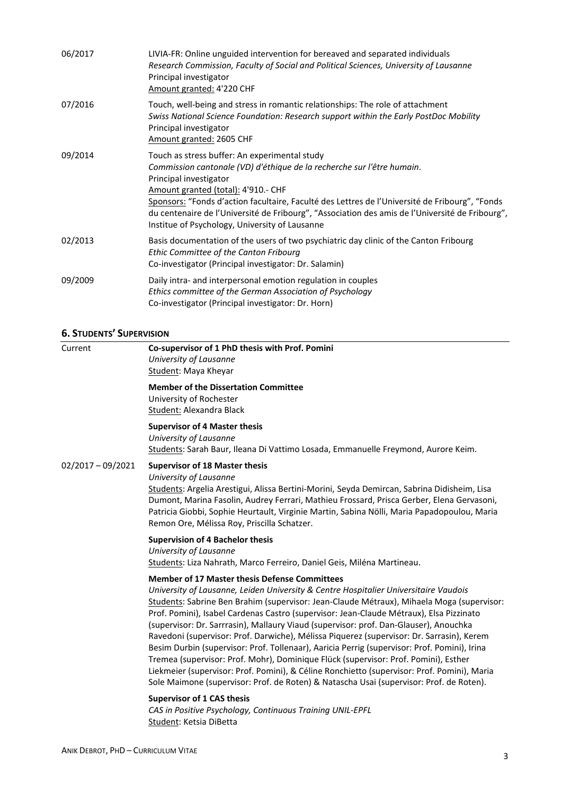| 06/2017 | LIVIA-FR: Online unguided intervention for bereaved and separated individuals<br>Research Commission, Faculty of Social and Political Sciences, University of Lausanne<br>Principal investigator<br>Amount granted: 4'220 CHF                                                                                                                                                                                                                   |
|---------|-------------------------------------------------------------------------------------------------------------------------------------------------------------------------------------------------------------------------------------------------------------------------------------------------------------------------------------------------------------------------------------------------------------------------------------------------|
| 07/2016 | Touch, well-being and stress in romantic relationships: The role of attachment<br>Swiss National Science Foundation: Research support within the Early PostDoc Mobility<br>Principal investigator<br>Amount granted: 2605 CHF                                                                                                                                                                                                                   |
| 09/2014 | Touch as stress buffer: An experimental study<br>Commission cantonale (VD) d'éthique de la recherche sur l'être humain.<br>Principal investigator<br>Amount granted (total): 4'910.- CHF<br>Sponsors: "Fonds d'action facultaire, Faculté des Lettres de l'Université de Fribourg", "Fonds<br>du centenaire de l'Université de Fribourg", "Association des amis de l'Université de Fribourg",<br>Institue of Psychology, University of Lausanne |
| 02/2013 | Basis documentation of the users of two psychiatric day clinic of the Canton Fribourg<br>Ethic Committee of the Canton Fribourg<br>Co-investigator (Principal investigator: Dr. Salamin)                                                                                                                                                                                                                                                        |
| 09/2009 | Daily intra- and interpersonal emotion regulation in couples<br>Ethics committee of the German Association of Psychology<br>Co-investigator (Principal investigator: Dr. Horn)                                                                                                                                                                                                                                                                  |

# **6. STUDENTS' SUPERVISION**

| Current             | Co-supervisor of 1 PhD thesis with Prof. Pomini<br>University of Lausanne<br>Student: Maya Kheyar                                                                                                                                                                                                                                                                                                                                                                                                                                                                                                                                                                                                                                                                                                                                                                                                           |
|---------------------|-------------------------------------------------------------------------------------------------------------------------------------------------------------------------------------------------------------------------------------------------------------------------------------------------------------------------------------------------------------------------------------------------------------------------------------------------------------------------------------------------------------------------------------------------------------------------------------------------------------------------------------------------------------------------------------------------------------------------------------------------------------------------------------------------------------------------------------------------------------------------------------------------------------|
|                     | <b>Member of the Dissertation Committee</b><br>University of Rochester<br>Student: Alexandra Black                                                                                                                                                                                                                                                                                                                                                                                                                                                                                                                                                                                                                                                                                                                                                                                                          |
|                     | <b>Supervisor of 4 Master thesis</b><br>University of Lausanne<br>Students: Sarah Baur, Ileana Di Vattimo Losada, Emmanuelle Freymond, Aurore Keim.                                                                                                                                                                                                                                                                                                                                                                                                                                                                                                                                                                                                                                                                                                                                                         |
| $02/2017 - 09/2021$ | <b>Supervisor of 18 Master thesis</b><br>University of Lausanne<br>Students: Argelia Arestigui, Alissa Bertini-Morini, Seyda Demircan, Sabrina Didisheim, Lisa<br>Dumont, Marina Fasolin, Audrey Ferrari, Mathieu Frossard, Prisca Gerber, Elena Gervasoni,<br>Patricia Giobbi, Sophie Heurtault, Virginie Martin, Sabina Nölli, Maria Papadopoulou, Maria<br>Remon Ore, Mélissa Roy, Priscilla Schatzer.                                                                                                                                                                                                                                                                                                                                                                                                                                                                                                   |
|                     | <b>Supervision of 4 Bachelor thesis</b><br>University of Lausanne<br>Students: Liza Nahrath, Marco Ferreiro, Daniel Geis, Miléna Martineau.                                                                                                                                                                                                                                                                                                                                                                                                                                                                                                                                                                                                                                                                                                                                                                 |
|                     | <b>Member of 17 Master thesis Defense Committees</b><br>University of Lausanne, Leiden University & Centre Hospitalier Universitaire Vaudois<br>Students: Sabrine Ben Brahim (supervisor: Jean-Claude Métraux), Mihaela Moga (supervisor:<br>Prof. Pomini), Isabel Cardenas Castro (supervisor: Jean-Claude Métraux), Elsa Pizzinato<br>(supervisor: Dr. Sarrrasin), Mallaury Viaud (supervisor: prof. Dan-Glauser), Anouchka<br>Ravedoni (supervisor: Prof. Darwiche), Mélissa Piquerez (supervisor: Dr. Sarrasin), Kerem<br>Besim Durbin (supervisor: Prof. Tollenaar), Aaricia Perrig (supervisor: Prof. Pomini), Irina<br>Tremea (supervisor: Prof. Mohr), Dominique Flück (supervisor: Prof. Pomini), Esther<br>Liekmeier (supervisor: Prof. Pomini), & Céline Ronchietto (supervisor: Prof. Pomini), Maria<br>Sole Maimone (supervisor: Prof. de Roten) & Natascha Usai (supervisor: Prof. de Roten). |
|                     | <b>Supervisor of 1 CAS thesis</b><br>CAS in Positive Psychology, Continuous Training UNIL-EPFL<br>Student: Ketsia DiBetta                                                                                                                                                                                                                                                                                                                                                                                                                                                                                                                                                                                                                                                                                                                                                                                   |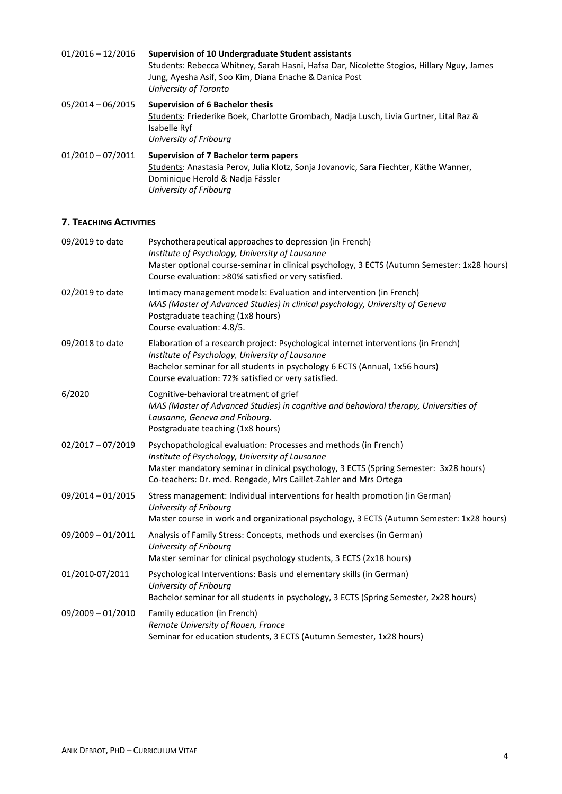| $01/2016 - 12/2016$ | Supervision of 10 Undergraduate Student assistants<br>Students: Rebecca Whitney, Sarah Hasni, Hafsa Dar, Nicolette Stogios, Hillary Nguy, James<br>Jung, Ayesha Asif, Soo Kim, Diana Enache & Danica Post<br>University of Toronto |
|---------------------|------------------------------------------------------------------------------------------------------------------------------------------------------------------------------------------------------------------------------------|
| $05/2014 - 06/2015$ | <b>Supervision of 6 Bachelor thesis</b><br>Students: Friederike Boek, Charlotte Grombach, Nadja Lusch, Livia Gurtner, Lital Raz &<br>Isabelle Ryf<br>University of Fribourg                                                        |
| $01/2010 - 07/2011$ | Supervision of 7 Bachelor term papers<br>Students: Anastasia Perov, Julia Klotz, Sonja Jovanovic, Sara Fiechter, Käthe Wanner,<br>Dominique Herold & Nadja Fässler<br>University of Fribourg                                       |

## **7. TEACHING ACTIVITIES**

| Psychotherapeutical approaches to depression (in French)<br>Institute of Psychology, University of Lausanne<br>Master optional course-seminar in clinical psychology, 3 ECTS (Autumn Semester: 1x28 hours)<br>Course evaluation: >80% satisfied or very satisfied.               |
|----------------------------------------------------------------------------------------------------------------------------------------------------------------------------------------------------------------------------------------------------------------------------------|
| Intimacy management models: Evaluation and intervention (in French)<br>MAS (Master of Advanced Studies) in clinical psychology, University of Geneva<br>Postgraduate teaching (1x8 hours)<br>Course evaluation: 4.8/5.                                                           |
| Elaboration of a research project: Psychological internet interventions (in French)<br>Institute of Psychology, University of Lausanne<br>Bachelor seminar for all students in psychology 6 ECTS (Annual, 1x56 hours)<br>Course evaluation: 72% satisfied or very satisfied.     |
| Cognitive-behavioral treatment of grief<br>MAS (Master of Advanced Studies) in cognitive and behavioral therapy, Universities of<br>Lausanne, Geneva and Fribourg.<br>Postgraduate teaching (1x8 hours)                                                                          |
| Psychopathological evaluation: Processes and methods (in French)<br>Institute of Psychology, University of Lausanne<br>Master mandatory seminar in clinical psychology, 3 ECTS (Spring Semester: 3x28 hours)<br>Co-teachers: Dr. med. Rengade, Mrs Caillet-Zahler and Mrs Ortega |
| Stress management: Individual interventions for health promotion (in German)<br>University of Fribourg<br>Master course in work and organizational psychology, 3 ECTS (Autumn Semester: 1x28 hours)                                                                              |
| Analysis of Family Stress: Concepts, methods und exercises (in German)<br>University of Fribourg<br>Master seminar for clinical psychology students, 3 ECTS (2x18 hours)                                                                                                         |
| Psychological Interventions: Basis und elementary skills (in German)<br>University of Fribourg<br>Bachelor seminar for all students in psychology, 3 ECTS (Spring Semester, 2x28 hours)                                                                                          |
| Family education (in French)<br>Remote University of Rouen, France<br>Seminar for education students, 3 ECTS (Autumn Semester, 1x28 hours)                                                                                                                                       |
|                                                                                                                                                                                                                                                                                  |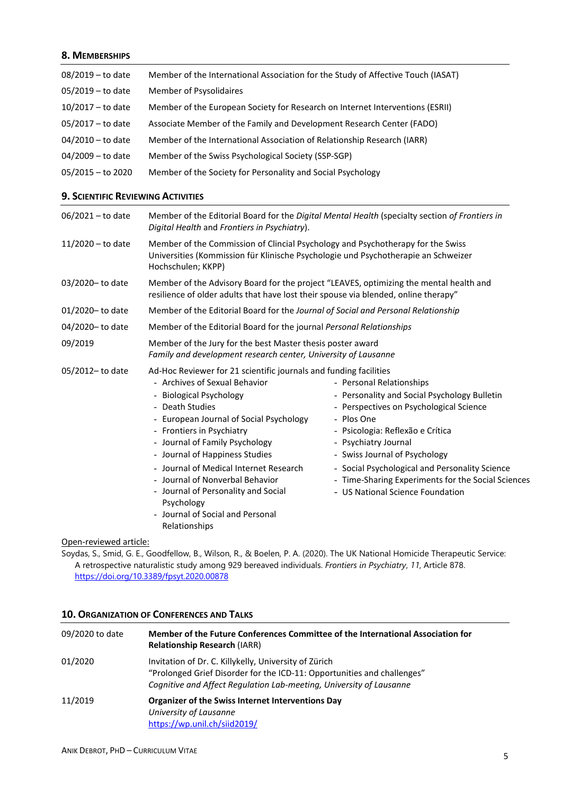## **8. MEMBERSHIPS**

| $08/2019 -$ to date | Member of the International Association for the Study of Affective Touch (IASAT) |
|---------------------|----------------------------------------------------------------------------------|
| $05/2019 -$ to date | Member of Psysolidaires                                                          |
| 10/2017 – to date   | Member of the European Society for Research on Internet Interventions (ESRII)    |
| $05/2017 -$ to date | Associate Member of the Family and Development Research Center (FADO)            |
| $04/2010 -$ to date | Member of the International Association of Relationship Research (IARR)          |
| $04/2009 -$ to date | Member of the Swiss Psychological Society (SSP-SGP)                              |
| $05/2015 -$ to 2020 | Member of the Society for Personality and Social Psychology                      |

### **9. SCIENTIFIC REVIEWING ACTIVITIES**

| $06/2021 -$ to date | Member of the Editorial Board for the Digital Mental Health (specialty section of Frontiers in<br>Digital Health and Frontiers in Psychiatry).                                                                                                                                                                                                                                                                                                                                      |                                                                                                                                                                                                                                                                                                                                                                            |  |  |
|---------------------|-------------------------------------------------------------------------------------------------------------------------------------------------------------------------------------------------------------------------------------------------------------------------------------------------------------------------------------------------------------------------------------------------------------------------------------------------------------------------------------|----------------------------------------------------------------------------------------------------------------------------------------------------------------------------------------------------------------------------------------------------------------------------------------------------------------------------------------------------------------------------|--|--|
| 11/2020 – to date   | Member of the Commission of Clincial Psychology and Psychotherapy for the Swiss<br>Universities (Kommission für Klinische Psychologie und Psychotherapie an Schweizer<br>Hochschulen; KKPP)                                                                                                                                                                                                                                                                                         |                                                                                                                                                                                                                                                                                                                                                                            |  |  |
| 03/2020-to date     | Member of the Advisory Board for the project "LEAVES, optimizing the mental health and<br>resilience of older adults that have lost their spouse via blended, online therapy"                                                                                                                                                                                                                                                                                                       |                                                                                                                                                                                                                                                                                                                                                                            |  |  |
| 01/2020-to date     |                                                                                                                                                                                                                                                                                                                                                                                                                                                                                     | Member of the Editorial Board for the Journal of Social and Personal Relationship                                                                                                                                                                                                                                                                                          |  |  |
| 04/2020-to date     | Member of the Editorial Board for the journal Personal Relationships                                                                                                                                                                                                                                                                                                                                                                                                                |                                                                                                                                                                                                                                                                                                                                                                            |  |  |
| 09/2019             | Member of the Jury for the best Master thesis poster award<br>Family and development research center, University of Lausanne                                                                                                                                                                                                                                                                                                                                                        |                                                                                                                                                                                                                                                                                                                                                                            |  |  |
| 05/2012-to date     | Ad-Hoc Reviewer for 21 scientific journals and funding facilities<br>- Archives of Sexual Behavior<br>- Biological Psychology<br>- Death Studies<br>- European Journal of Social Psychology<br>- Frontiers in Psychiatry<br>- Journal of Family Psychology<br>- Journal of Happiness Studies<br>- Journal of Medical Internet Research<br>- Journal of Nonverbal Behavior<br>- Journal of Personality and Social<br>Psychology<br>- Journal of Social and Personal<br>Relationships | - Personal Relationships<br>- Personality and Social Psychology Bulletin<br>- Perspectives on Psychological Science<br>- Plos One<br>- Psicologia: Reflexão e Crítica<br>- Psychiatry Journal<br>- Swiss Journal of Psychology<br>- Social Psychological and Personality Science<br>- Time-Sharing Experiments for the Social Sciences<br>- US National Science Foundation |  |  |

### Open-reviewed article:

Soydas, S., Smid, G. E., Goodfellow, B., Wilson, R., & Boelen, P. A. (2020). The UK National Homicide Therapeutic Service: A retrospective naturalistic study among 929 bereaved individuals. *Frontiers in Psychiatry*, *11*, Article 878. <https://doi.org/10.3389/fpsyt.2020.00878>

# **10. ORGANIZATION OF CONFERENCES AND TALKS**

| 09/2020 to date | Member of the Future Conferences Committee of the International Association for<br><b>Relationship Research (IARR)</b>                                                                                  |
|-----------------|---------------------------------------------------------------------------------------------------------------------------------------------------------------------------------------------------------|
| 01/2020         | Invitation of Dr. C. Killykelly, University of Zürich<br>"Prolonged Grief Disorder for the ICD-11: Opportunities and challenges"<br>Cognitive and Affect Regulation Lab-meeting, University of Lausanne |
| 11/2019         | Organizer of the Swiss Internet Interventions Day<br>University of Lausanne<br>https://wp.unil.ch/siid2019/                                                                                             |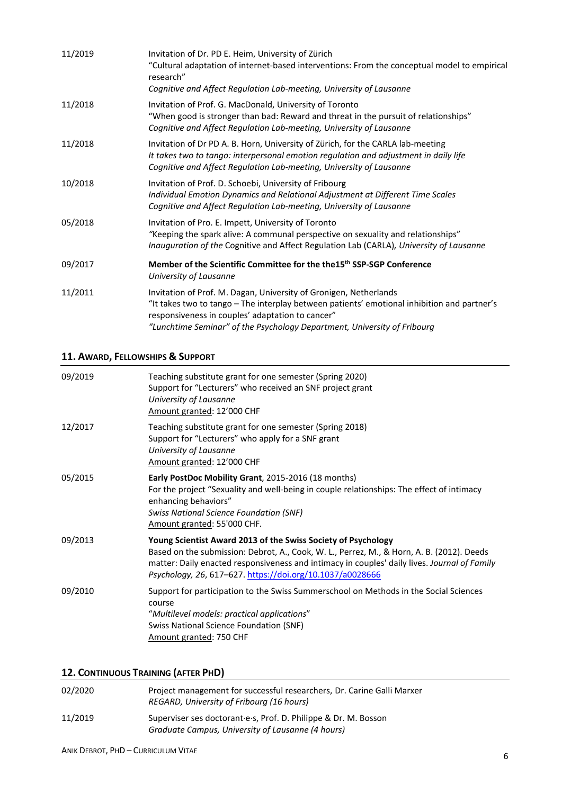| 11/2019 | Invitation of Dr. PD E. Heim, University of Zürich<br>"Cultural adaptation of internet-based interventions: From the conceptual model to empirical<br>research"<br>Cognitive and Affect Regulation Lab-meeting, University of Lausanne                                                           |
|---------|--------------------------------------------------------------------------------------------------------------------------------------------------------------------------------------------------------------------------------------------------------------------------------------------------|
| 11/2018 | Invitation of Prof. G. MacDonald, University of Toronto<br>"When good is stronger than bad: Reward and threat in the pursuit of relationships"<br>Cognitive and Affect Regulation Lab-meeting, University of Lausanne                                                                            |
| 11/2018 | Invitation of Dr PD A. B. Horn, University of Zürich, for the CARLA lab-meeting<br>It takes two to tango: interpersonal emotion regulation and adjustment in daily life<br>Cognitive and Affect Regulation Lab-meeting, University of Lausanne                                                   |
| 10/2018 | Invitation of Prof. D. Schoebi, University of Fribourg<br>Individual Emotion Dynamics and Relational Adjustment at Different Time Scales<br>Cognitive and Affect Regulation Lab-meeting, University of Lausanne                                                                                  |
| 05/2018 | Invitation of Pro. E. Impett, University of Toronto<br>"Keeping the spark alive: A communal perspective on sexuality and relationships"<br>Inauguration of the Cognitive and Affect Regulation Lab (CARLA), University of Lausanne                                                               |
| 09/2017 | Member of the Scientific Committee for the the15 <sup>th</sup> SSP-SGP Conference<br>University of Lausanne                                                                                                                                                                                      |
| 11/2011 | Invitation of Prof. M. Dagan, University of Gronigen, Netherlands<br>"It takes two to tango - The interplay between patients' emotional inhibition and partner's<br>responsiveness in couples' adaptation to cancer"<br>"Lunchtime Seminar" of the Psychology Department, University of Fribourg |

# **11. AWARD, FELLOWSHIPS & SUPPORT**

| 09/2019 | Teaching substitute grant for one semester (Spring 2020)<br>Support for "Lecturers" who received an SNF project grant<br>University of Lausanne<br>Amount granted: 12'000 CHF                                                                                                                                           |
|---------|-------------------------------------------------------------------------------------------------------------------------------------------------------------------------------------------------------------------------------------------------------------------------------------------------------------------------|
| 12/2017 | Teaching substitute grant for one semester (Spring 2018)<br>Support for "Lecturers" who apply for a SNF grant<br>University of Lausanne<br>Amount granted: 12'000 CHF                                                                                                                                                   |
| 05/2015 | Early PostDoc Mobility Grant, 2015-2016 (18 months)<br>For the project "Sexuality and well-being in couple relationships: The effect of intimacy<br>enhancing behaviors"<br><b>Swiss National Science Foundation (SNF)</b><br>Amount granted: 55'000 CHF.                                                               |
| 09/2013 | Young Scientist Award 2013 of the Swiss Society of Psychology<br>Based on the submission: Debrot, A., Cook, W. L., Perrez, M., & Horn, A. B. (2012). Deeds<br>matter: Daily enacted responsiveness and intimacy in couples' daily lives. Journal of Family<br>Psychology, 26, 617-627. https://doi.org/10.1037/a0028666 |
| 09/2010 | Support for participation to the Swiss Summerschool on Methods in the Social Sciences<br>course<br>"Multilevel models: practical applications"<br><b>Swiss National Science Foundation (SNF)</b><br>Amount granted: 750 CHF                                                                                             |

# **12. CONTINUOUS TRAINING (AFTER PHD)**

| 02/2020 | Project management for successful researchers, Dr. Carine Galli Marxer<br>REGARD, University of Fribourg (16 hours)  |
|---------|----------------------------------------------------------------------------------------------------------------------|
| 11/2019 | Superviser ses doctorant e.s. Prof. D. Philippe & Dr. M. Bosson<br>Graduate Campus, University of Lausanne (4 hours) |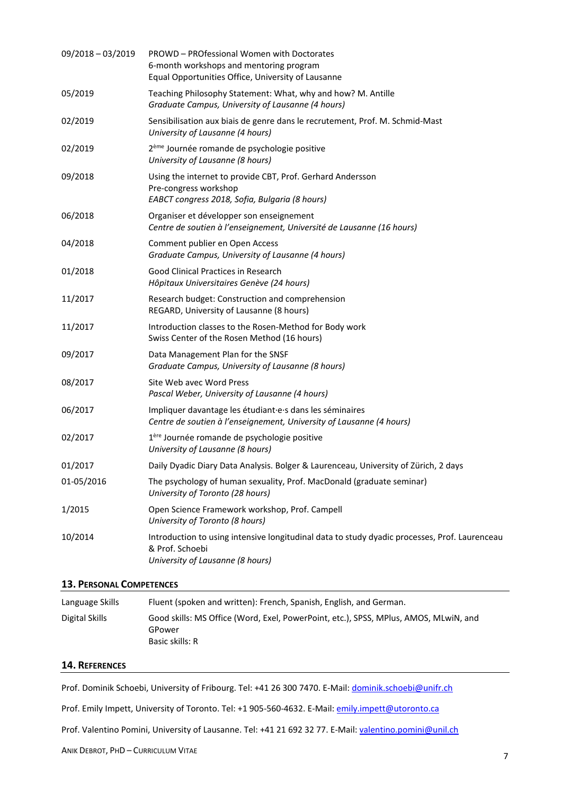| 09/2018 - 03/2019 | PROWD - PROfessional Women with Doctorates<br>6-month workshops and mentoring program<br>Equal Opportunities Office, University of Lausanne          |
|-------------------|------------------------------------------------------------------------------------------------------------------------------------------------------|
| 05/2019           | Teaching Philosophy Statement: What, why and how? M. Antille<br>Graduate Campus, University of Lausanne (4 hours)                                    |
| 02/2019           | Sensibilisation aux biais de genre dans le recrutement, Prof. M. Schmid-Mast<br>University of Lausanne (4 hours)                                     |
| 02/2019           | 2 <sup>ème</sup> Journée romande de psychologie positive<br>University of Lausanne (8 hours)                                                         |
| 09/2018           | Using the internet to provide CBT, Prof. Gerhard Andersson<br>Pre-congress workshop<br>EABCT congress 2018, Sofia, Bulgaria (8 hours)                |
| 06/2018           | Organiser et développer son enseignement<br>Centre de soutien à l'enseignement, Université de Lausanne (16 hours)                                    |
| 04/2018           | Comment publier en Open Access<br>Graduate Campus, University of Lausanne (4 hours)                                                                  |
| 01/2018           | Good Clinical Practices in Research<br>Hôpitaux Universitaires Genève (24 hours)                                                                     |
| 11/2017           | Research budget: Construction and comprehension<br>REGARD, University of Lausanne (8 hours)                                                          |
| 11/2017           | Introduction classes to the Rosen-Method for Body work<br>Swiss Center of the Rosen Method (16 hours)                                                |
| 09/2017           | Data Management Plan for the SNSF<br>Graduate Campus, University of Lausanne (8 hours)                                                               |
| 08/2017           | Site Web avec Word Press<br>Pascal Weber, University of Lausanne (4 hours)                                                                           |
| 06/2017           | Impliquer davantage les étudiant es dans les séminaires<br>Centre de soutien à l'enseignement, University of Lausanne (4 hours)                      |
| 02/2017           | 1 <sup>ère</sup> Journée romande de psychologie positive<br>University of Lausanne (8 hours)                                                         |
| 01/2017           | Daily Dyadic Diary Data Analysis. Bolger & Laurenceau, University of Zürich, 2 days                                                                  |
| 01-05/2016        | The psychology of human sexuality, Prof. MacDonald (graduate seminar)<br>University of Toronto (28 hours)                                            |
| 1/2015            | Open Science Framework workshop, Prof. Campell<br>University of Toronto (8 hours)                                                                    |
| 10/2014           | Introduction to using intensive longitudinal data to study dyadic processes, Prof. Laurenceau<br>& Prof. Schoebi<br>University of Lausanne (8 hours) |

## **13. PERSONAL COMPETENCES**

| Language Skills | Fluent (spoken and written): French, Spanish, English, and German.                                                |
|-----------------|-------------------------------------------------------------------------------------------------------------------|
| Digital Skills  | Good skills: MS Office (Word, Exel, PowerPoint, etc.), SPSS, MPlus, AMOS, MLwiN, and<br>GPower<br>Basic skills: R |

# **14. REFERENCES**

Prof. Dominik Schoebi, University of Fribourg. Tel: +41 26 300 7470. E-Mail: [dominik.schoebi@unifr.ch](mailto:dominik.schoebi@unifr.ch)

Prof. Emily Impett, University of Toronto. Tel: +1 905-560-4632. E-Mail[: emily.impett@utoronto.ca](mailto:emily.impett@utoronto.ca)

Prof. Valentino Pomini, University of Lausanne. Tel: +41 21 692 32 77. E-Mail: [valentino.pomini@unil.ch](mailto:valentino.pomini@unil.ch)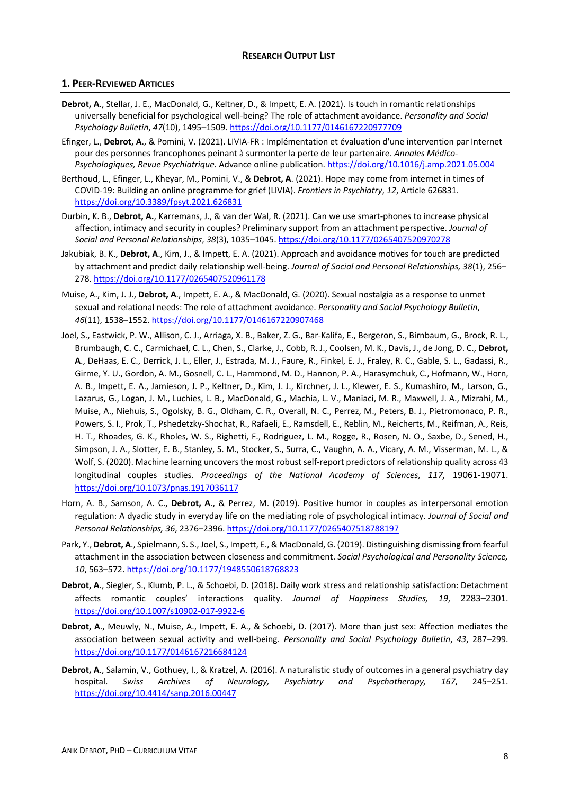### **1. PEER-REVIEWED ARTICLES**

- **Debrot, A**., Stellar, J. E., MacDonald, G., Keltner, D., & Impett, E. A. (2021). Is touch in romantic relationships universally beneficial for psychological well-being? The role of attachment avoidance. *Personality and Social Psychology Bulletin*, *47*(10), 1495–1509[. https://doi.org/10.1177/0146167220977709](https://doi.org/10.1177/0146167220977709)
- Efinger, L., **Debrot, A**., & Pomini, V. (2021). LIVIA-FR : Implémentation et évaluation d'une intervention par Internet pour des personnes francophones peinant à surmonter la perte de leur partenaire. *Annales Médico-Psychologiques, Revue Psychiatrique.* Advance online publication.<https://doi.org/10.1016/j.amp.2021.05.004>
- Berthoud, L., Efinger, L., Kheyar, M., Pomini, V., & **Debrot, A**. (2021). Hope may come from internet in times of COVID-19: Building an online programme for grief (LIVIA). *Frontiers in Psychiatry*, *12*, Article 626831. <https://doi.org/10.3389/fpsyt.2021.626831>
- Durbin, K. B., **Debrot, A.**, Karremans, J., & van der Wal, R. (2021). Can we use smart-phones to increase physical affection, intimacy and security in couples? Preliminary support from an attachment perspective. *Journal of Social and Personal Relationships*, *38*(3), 1035–1045.<https://doi.org/10.1177/0265407520970278>
- Jakubiak, B. K., **Debrot, A**., Kim, J., & Impett, E. A. (2021). Approach and avoidance motives for touch are predicted by attachment and predict daily relationship well-being. *Journal of Social and Personal Relationships, 38*(1), 256– 278[. https://doi.org/10.1177/0265407520961178](https://doi.org/10.1177/0265407520961178)
- Muise, A., Kim, J. J., **Debrot, A**., Impett, E. A., & MacDonald, G. (2020). Sexual nostalgia as a response to unmet sexual and relational needs: The role of attachment avoidance. *Personality and Social Psychology Bulletin*, *46*(11), 1538–1552.<https://doi.org/10.1177/0146167220907468>
- Joel, S., Eastwick, P. W., Allison, C. J., Arriaga, X. B., Baker, Z. G., Bar-Kalifa, E., Bergeron, S., Birnbaum, G., Brock, R. L., Brumbaugh, C. C., Carmichael, C. L., Chen, S., Clarke, J., Cobb, R. J., Coolsen, M. K., Davis, J., de Jong, D. C., **Debrot, A**., DeHaas, E. C., Derrick, J. L., Eller, J., Estrada, M. J., Faure, R., Finkel, E. J., Fraley, R. C., Gable, S. L., Gadassi, R., Girme, Y. U., Gordon, A. M., Gosnell, C. L., Hammond, M. D., Hannon, P. A., Harasymchuk, C., Hofmann, W., Horn, A. B., Impett, E. A., Jamieson, J. P., Keltner, D., Kim, J. J., Kirchner, J. L., Klewer, E. S., Kumashiro, M., Larson, G., Lazarus, G., Logan, J. M., Luchies, L. B., MacDonald, G., Machia, L. V., Maniaci, M. R., Maxwell, J. A., Mizrahi, M., Muise, A., Niehuis, S., Ogolsky, B. G., Oldham, C. R., Overall, N. C., Perrez, M., Peters, B. J., Pietromonaco, P. R., Powers, S. I., Prok, T., Pshedetzky-Shochat, R., Rafaeli, E., Ramsdell, E., Reblin, M., Reicherts, M., Reifman, A., Reis, H. T., Rhoades, G. K., Rholes, W. S., Righetti, F., Rodriguez, L. M., Rogge, R., Rosen, N. O., Saxbe, D., Sened, H., Simpson, J. A., Slotter, E. B., Stanley, S. M., Stocker, S., Surra, C., Vaughn, A. A., Vicary, A. M., Visserman, M. L., & Wolf, S. (2020). Machine learning uncovers the most robust self-report predictors of relationship quality across 43 longitudinal couples studies. *Proceedings of the National Academy of Sciences, 117,* 19061-19071. <https://doi.org/10.1073/pnas.1917036117>
- Horn, A. B., Samson, A. C., **Debrot, A**., & Perrez, M. (2019). Positive humor in couples as interpersonal emotion regulation: A dyadic study in everyday life on the mediating role of psychological intimacy. *Journal of Social and Personal Relationships, 36*, 2376–2396[. https://doi.org/10.1177/0265407518788197](https://doi.org/10.1177/0265407518788197)
- Park, Y., **Debrot, A**., Spielmann, S. S., Joel, S., Impett, E., & MacDonald, G. (2019). Distinguishing dismissing from fearful attachment in the association between closeness and commitment. *Social Psychological and Personality Science, 10*, 563–572[. https://doi.org/10.1177/1948550618768823](https://doi.org/10.1177/1948550618768823)
- **Debrot, A**., Siegler, S., Klumb, P. L., & Schoebi, D. (2018). Daily work stress and relationship satisfaction: Detachment affects romantic couples' interactions quality. *Journal of Happiness Studies, 19*, 2283–2301. <https://doi.org/10.1007/s10902-017-9922-6>
- **Debrot, A**., Meuwly, N., Muise, A., Impett, E. A., & Schoebi, D. (2017). More than just sex: Affection mediates the association between sexual activity and well-being. *Personality and Social Psychology Bulletin*, *43*, 287–299. <https://doi.org/10.1177/0146167216684124>
- **Debrot, A**., Salamin, V., Gothuey, I., & Kratzel, A. (2016). A naturalistic study of outcomes in a general psychiatry day hospital. *Swiss Archives of Neurology, Psychiatry and Psychotherapy, 167*, 245–251. <https://doi.org/10.4414/sanp.2016.00447>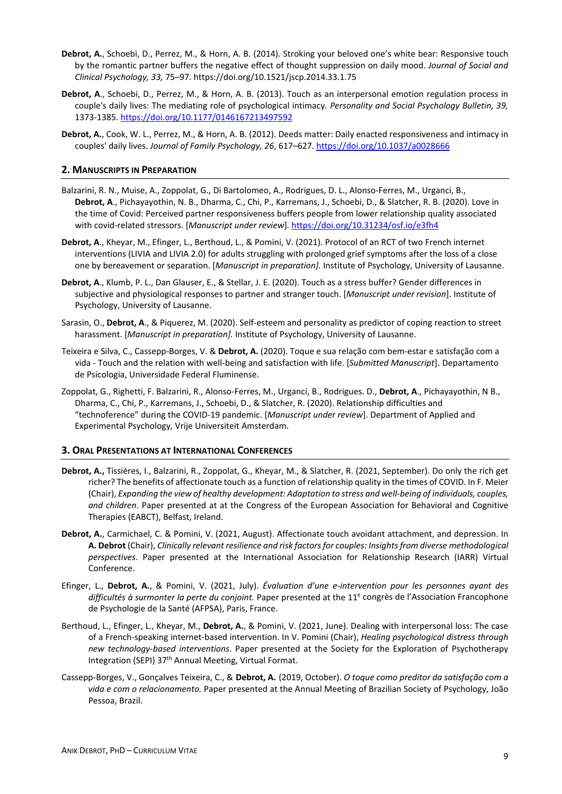- **Debrot, A.**, Schoebi, D., Perrez, M., & Horn, A. B. (2014)*.* Stroking your beloved one's white bear: Responsive touch by the romantic partner buffers the negative effect of thought suppression on daily mood. *Journal of Social and Clinical Psychology, 33,* 75–97. https://doi.org/10.1521/jscp.2014.33.1.75
- **Debrot, A**., Schoebi, D., Perrez, M., & Horn, A. B. (2013). Touch as an interpersonal emotion regulation process in couple's daily lives: The mediating role of psychological intimacy*. Personality and Social Psychology Bulletin, 39,* 1373-1385[. https://doi.org/10.1177/0146167213497592](https://doi.org/10.1177/0146167213497592)
- **Debrot, A.**, Cook, W. L., Perrez, M., & Horn, A. B. (2012). Deeds matter: Daily enacted responsiveness and intimacy in couples' daily lives. *Journal of Family Psychology, 26*, 617–627[. https://doi.org/10.1037/a0028666](https://doi.org/10.1037/a0028666)

### **2. MANUSCRIPTS IN PREPARATION**

- Balzarini, R. N., Muise, A., Zoppolat, G., Di Bartolomeo, A., Rodrigues, D. L., Alonso-Ferres, M., Urganci, B., **Debrot, A**., Pichayayothin, N. B., Dharma, C., Chi, P., Karremans, J., Schoebi, D., & Slatcher, R. B. (2020). Love in the time of Covid: Perceived partner responsiveness buffers people from lower relationship quality associated with covid-related stressors. [*Manuscript under review*]*.* <https://doi.org/10.31234/osf.io/e3fh4>
- **Debrot, A**., Kheyar, M., Efinger, L., Berthoud, L., & Pomini, V. (2021). Protocol of an RCT of two French internet interventions (LIVIA and LIVIA 2.0) for adults struggling with prolonged grief symptoms after the loss of a close one by bereavement or separation. [*Manuscript in preparation].* Institute of Psychology, University of Lausanne.
- **Debrot, A**., Klumb, P. L., Dan Glauser, E., & Stellar, J. E. (2020). Touch as a stress buffer? Gender differences in subjective and physiological responses to partner and stranger touch. [*Manuscript under revision*]. Institute of Psychology, University of Lausanne.
- Sarasin, O., **Debrot, A**., & Piquerez, M. (2020). Self-esteem and personality as predictor of coping reaction to street harassment. [*Manuscript in preparation].* Institute of Psychology, University of Lausanne.
- Teixeira e Silva, C., Cassepp-Borges, V. & **Debrot, A.** (2020). Toque e sua relação com bem-estar e satisfação com a vida - Touch and the relation with well-being and satisfaction with life. [*Submitted Manuscript*]. Departamento de Psicologia, Universidade Federal Fluminense.
- Zoppolat, G., Righetti, F. Balzarini, R., Alonso-Ferres, M., Urganci, B., Rodrigues. D., **Debrot, A**., Pichayayothin, N B., Dharma, C., Chi, P., Karremans, J., Schoebi, D., & Slatcher, R. (2020). Relationship difficulties and "technoference" during the COVID-19 pandemic. [*Manuscript under review*]. Department of Applied and Experimental Psychology, Vrije Universiteit Amsterdam.

### **3. ORAL PRESENTATIONS AT INTERNATIONAL CONFERENCES**

- **Debrot, A.,** Tissières, I., Balzarini, R., Zoppolat, G., Kheyar, M., & Slatcher, R. (2021, September). Do only the rich get richer? The benefits of affectionate touch as a function of relationship quality in the times of COVID. In F. Meier (Chair), *Expanding the view of healthy development: Adaptation to stress and well-being of individuals, couples, and children*. Paper presented at at the Congress of the European Association for Behavioral and Cognitive Therapies (EABCT), Belfast, Ireland.
- **Debrot, A.**, Carmichael, C. & Pomini, V. (2021, August). Affectionate touch avoidant attachment, and depression. In **A. Debrot** (Chair), *Clinically relevant resilience and risk factors for couples: Insights from diverse methodological perspectives*. Paper presented at the International Association for Relationship Research (IARR) Virtual Conference.
- Efinger, L., **Debrot, A.**, & Pomini, V. (2021, July). *Évaluation d'une e-intervention pour les personnes ayant des difficultés à surmonter la perte du conjoint.* Paper presented at the 11e congrès de l'Association Francophone de Psychologie de la Santé (AFPSA), Paris, France.
- Berthoud, L., Efinger, L., Kheyar, M., **Debrot, A.**, & Pomini, V. (2021, June). Dealing with interpersonal loss: The case of a French-speaking internet-based intervention. In V. Pomini (Chair), *Healing psychological distress through new technology-based interventions*. Paper presented at the Society for the Exploration of Psychotherapy Integration (SEPI) 37<sup>th</sup> Annual Meeting, Virtual Format.
- Cassepp-Borges, V., Gonçalves Teixeira, C., & **Debrot, A.** (2019, October). *O toque como preditor da satisfação com a vida e com o relacionamento.* Paper presented at the Annual Meeting of Brazilian Society of Psychology, João Pessoa, Brazil.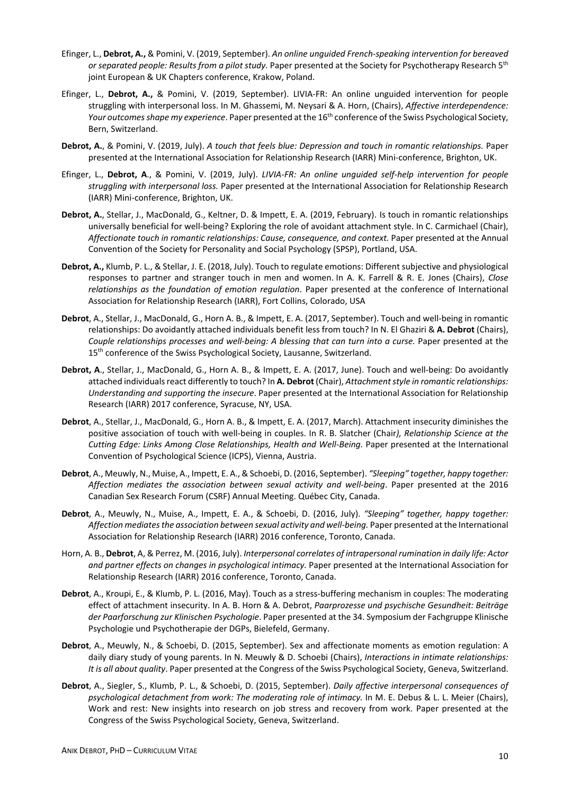- Efinger, L., **Debrot, A.,** & Pomini, V. (2019, September). *An online unguided French-speaking intervention for bereaved or separated people: Results from a pilot study.* Paper presented at the Society for Psychotherapy Research 5th joint European & UK Chapters conference, Krakow, Poland.
- Efinger, L., **Debrot, A.,** & Pomini, V. (2019, September). LIVIA-FR: An online unguided intervention for people struggling with interpersonal loss. In M. Ghassemi, M. Neysari & A. Horn, (Chairs), *Affective interdependence: Your outcomes shape my experience*. Paper presented at the 16th conference of the Swiss Psychological Society, Bern, Switzerland.
- **Debrot, A.**, & Pomini, V. (2019, July). *A touch that feels blue: Depression and touch in romantic relationships.* Paper presented at the International Association for Relationship Research (IARR) Mini-conference, Brighton, UK.
- Efinger, L., **Debrot, A**., & Pomini, V. (2019, July). *LIVIA-FR: An online unguided self-help intervention for people struggling with interpersonal loss.* Paper presented at the International Association for Relationship Research (IARR) Mini-conference, Brighton, UK.
- **Debrot, A.**, Stellar, J., MacDonald, G., Keltner, D. & Impett, E. A. (2019, February). Is touch in romantic relationships universally beneficial for well-being? Exploring the role of avoidant attachment style. In C. Carmichael (Chair), *Affectionate touch in romantic relationships: Cause, consequence, and context.* Paper presented at the Annual Convention of the Society for Personality and Social Psychology (SPSP), Portland, USA.
- **Debrot, A.,** Klumb, P. L., & Stellar, J. E. (2018, July). Touch to regulate emotions: Different subjective and physiological responses to partner and stranger touch in men and women. In A. K. Farrell & R. E. Jones (Chairs), *Close relationships as the foundation of emotion regulation*. Paper presented at the conference of International Association for Relationship Research (IARR), Fort Collins, Colorado, USA
- **Debrot**, A., Stellar, J., MacDonald, G., Horn A. B., & Impett, E. A. (2017, September). Touch and well-being in romantic relationships: Do avoidantly attached individuals benefit less from touch? In N. El Ghaziri & **A. Debrot** (Chairs), *Couple relationships processes and well-being: A blessing that can turn into a curse.* Paper presented at the 15<sup>th</sup> conference of the Swiss Psychological Society, Lausanne, Switzerland.
- **Debrot, A**., Stellar, J., MacDonald, G., Horn A. B., & Impett, E. A. (2017, June). Touch and well-being: Do avoidantly attached individuals react differently to touch? In **A. Debrot** (Chair), *Attachment style in romantic relationships: Understanding and supporting the insecure*. Paper presented at the International Association for Relationship Research (IARR) 2017 conference, Syracuse, NY, USA.
- **Debrot**, A., Stellar, J., MacDonald, G., Horn A. B., & Impett, E. A. (2017, March). Attachment insecurity diminishes the positive association of touch with well-being in couples. In R. B. Slatcher (Chair*), Relationship Science at the Cutting Edge: Links Among Close Relationships, Health and Well-Being.* Paper presented at the International Convention of Psychological Science (ICPS), Vienna, Austria.
- **Debrot**, A., Meuwly, N., Muise, A., Impett, E. A., & Schoebi, D. (2016, September). *"Sleeping" together, happy together: Affection mediates the association between sexual activity and well-being*. Paper presented at the 2016 Canadian Sex Research Forum (CSRF) Annual Meeting. Québec City, Canada.
- **Debrot**, A., Meuwly, N., Muise, A., Impett, E. A., & Schoebi, D. (2016, July). *"Sleeping" together, happy together: Affection mediates the association between sexual activity and well-being.* Paper presented at the International Association for Relationship Research (IARR) 2016 conference, Toronto, Canada.
- Horn, A. B., **Debrot**, A, & Perrez, M. (2016, July). *Interpersonal correlates of intrapersonal rumination in daily life: Actor and partner effects on changes in psychological intimacy.* Paper presented at the International Association for Relationship Research (IARR) 2016 conference, Toronto, Canada.
- **Debrot**, A., Kroupi, E., & Klumb, P. L. (2016, May). Touch as a stress-buffering mechanism in couples: The moderating effect of attachment insecurity. In A. B. Horn & A. Debrot, *Paarprozesse und psychische Gesundheit: Beiträge der Paarforschung zur Klinischen Psychologie*. Paper presented at the 34. Symposium der Fachgruppe Klinische Psychologie und Psychotherapie der DGPs, Bielefeld, Germany.
- **Debrot**, A., Meuwly, N., & Schoebi, D. (2015, September). Sex and affectionate moments as emotion regulation: A daily diary study of young parents. In N. Meuwly & D. Schoebi (Chairs), *Interactions in intimate relationships: It is all about quality*. Paper presented at the Congress of the Swiss Psychological Society, Geneva, Switzerland.
- **Debrot**, A., Siegler, S., Klumb, P. L., & Schoebi, D. (2015, September). *Daily affective interpersonal consequences of psychological detachment from work: The moderating role of intimacy.* In M. E. Debus & L. L. Meier (Chairs), Work and rest: New insights into research on job stress and recovery from work. Paper presented at the Congress of the Swiss Psychological Society, Geneva, Switzerland.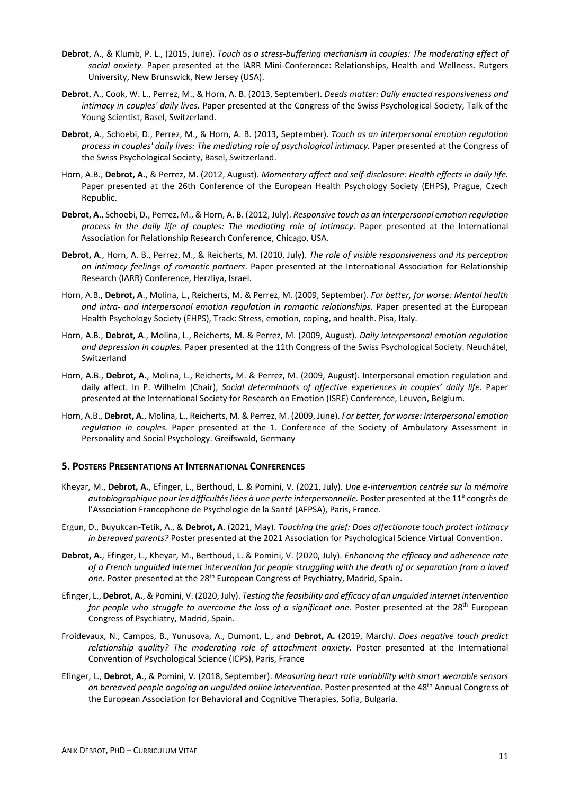- **Debrot**, A., & Klumb, P. L., (2015, June). *Touch as a stress-buffering mechanism in couples: The moderating effect of social anxiety.* Paper presented at the IARR Mini-Conference: Relationships, Health and Wellness. Rutgers University, New Brunswick, New Jersey (USA).
- **Debrot**, A., Cook, W. L., Perrez, M., & Horn, A. B. (2013, September). *Deeds matter: Daily enacted responsiveness and intimacy in couples' daily lives.* Paper presented at the Congress of the Swiss Psychological Society, Talk of the Young Scientist, Basel, Switzerland.
- **Debrot**, A., Schoebi, D., Perrez, M., & Horn, A. B. (2013, September). *Touch as an interpersonal emotion regulation process in couples' daily lives: The mediating role of psychological intimacy.* Paper presented at the Congress of the Swiss Psychological Society, Basel, Switzerland.
- Horn, A.B., **Debrot, A**., & Perrez, M. (2012, August). *Momentary affect and self-disclosure: Health effects in daily life.* Paper presented at the 26th Conference of the European Health Psychology Society (EHPS), Prague, Czech Republic.
- **Debrot, A**., Schoebi, D., Perrez, M., & Horn, A. B. (2012, July). *Responsive touch as an interpersonal emotion regulation process in the daily life of couples: The mediating role of intimacy*. Paper presented at the International Association for Relationship Research Conference, Chicago, USA.
- **Debrot, A**., Horn, A. B., Perrez, M., & Reicherts, M. (2010, July). *The role of visible responsiveness and its perception on intimacy feelings of romantic partners*. Paper presented at the International Association for Relationship Research (IARR) Conference, Herzliya, Israel.
- Horn, A.B., **Debrot, A**., Molina, L., Reicherts, M. & Perrez, M. (2009, September). *For better, for worse: Mental health and intra- and interpersonal emotion regulation in romantic relationships.* Paper presented at the European Health Psychology Society (EHPS), Track: Stress, emotion, coping, and health. Pisa, Italy.
- Horn, A.B., **Debrot, A**., Molina, L., Reicherts, M. & Perrez, M. (2009, August). *Daily interpersonal emotion regulation and depression in couples.* Paper presented at the 11th Congress of the Swiss Psychological Society. Neuchâtel, Switzerland
- Horn, A.B., **Debrot, A.**, Molina, L., Reicherts, M. & Perrez, M. (2009, August). Interpersonal emotion regulation and daily affect. In P. Wilhelm (Chair), *Social determinants of affective experiences in couples' daily life*. Paper presented at the International Society for Research on Emotion (ISRE) Conference, Leuven, Belgium.
- Horn, A.B., **Debrot, A**., Molina, L., Reicherts, M. & Perrez, M. (2009, June). *For better, for worse: Interpersonal emotion regulation in couples.* Paper presented at the 1. Conference of the Society of Ambulatory Assessment in Personality and Social Psychology. Greifswald, Germany

### **5. POSTERS PRESENTATIONS AT INTERNATIONAL CONFERENCES**

- Kheyar, M., **Debrot, A.**, Efinger, L., Berthoud, L. & Pomini, V. (2021, July). *Une e-intervention centrée sur la mémoire autobiographique pour les difficultés liées à une perte interpersonnelle.* Poster presented at the 11<sup>e</sup> congrès de l'Association Francophone de Psychologie de la Santé (AFPSA), Paris, France.
- Ergun, D., Buyukcan-Tetik, A., & **Debrot, A**. (2021, May). *Touching the grief: Does affectionate touch protect intimacy in bereaved parents?* Poster presented at the 2021 Association for Psychological Science Virtual Convention.
- **Debrot, A.**, Efinger, L., Kheyar, M., Berthoud, L. & Pomini, V. (2020, July). *Enhancing the efficacy and adherence rate of a French unguided internet intervention for people struggling with the death of or separation from a loved one.* Poster presented at the 28th European Congress of Psychiatry, Madrid, Spain.
- Efinger, L., **Debrot, A.**, & Pomini, V. (2020, July). *Testing the feasibility and efficacy of an unguided internet intervention for people who struggle to overcome the loss of a significant one.* Poster presented at the 28<sup>th</sup> European Congress of Psychiatry, Madrid, Spain.
- Froidevaux, N., Campos, B., Yunusova, A., Dumont, L., and **Debrot, A.** (2019, March*). Does negative touch predict relationship quality? The moderating role of attachment anxiety.* Poster presented at the International Convention of Psychological Science (ICPS), Paris, France
- Efinger, L., **Debrot, A**., & Pomini, V. (2018, September). *Measuring heart rate variability with smart wearable sensors on bereaved people ongoing an unguided online intervention.* Poster presented at the 48th Annual Congress of the European Association for Behavioral and Cognitive Therapies, Sofia, Bulgaria.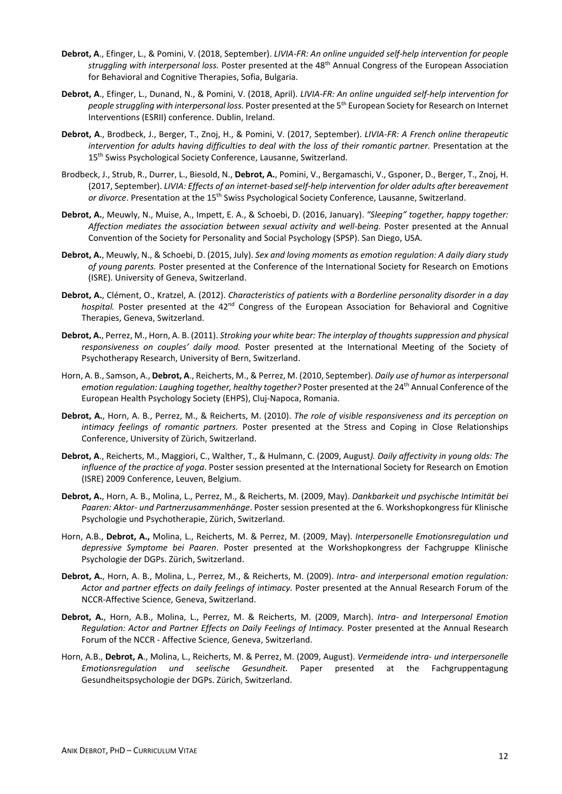- **Debrot, A**., Efinger, L., & Pomini, V. (2018, September). *LIVIA-FR: An online unguided self-help intervention for people struggling with interpersonal loss.* Poster presented at the 48th Annual Congress of the European Association for Behavioral and Cognitive Therapies, Sofia, Bulgaria.
- **Debrot, A**., Efinger, L., Dunand, N., & Pomini, V. (2018, April). *LIVIA-FR: An online unguided self-help intervention for people struggling with interpersonal loss.* Poster presented at the 5th European Society for Research on Internet Interventions (ESRII) conference. Dublin, Ireland.
- **Debrot, A**., Brodbeck, J., Berger, T., Znoj, H., & Pomini, V. (2017, September). *LIVIA-FR: A French online therapeutic intervention for adults having difficulties to deal with the loss of their romantic partner.* Presentation at the 15<sup>th</sup> Swiss Psychological Society Conference, Lausanne, Switzerland.
- Brodbeck, J., Strub, R., Durrer, L., Biesold, N., **Debrot, A.**, Pomini, V., Bergamaschi, V., Gsponer, D., Berger, T., Znoj, H. (2017, September). *LIVIA: Effects of an internet-based self-help intervention for older adults after bereavement or divorce*. Presentation at the 15th Swiss Psychological Society Conference, Lausanne, Switzerland.
- **Debrot, A.**, Meuwly, N., Muise, A., Impett, E. A., & Schoebi, D. (2016, January). *"Sleeping" together, happy together:*  Affection mediates the association between sexual activity and well-being. Poster presented at the Annual Convention of the Society for Personality and Social Psychology (SPSP). San Diego, USA.
- **Debrot, A.**, Meuwly, N., & Schoebi, D. (2015, July). *Sex and loving moments as emotion regulation: A daily diary study of young parents.* Poster presented at the Conference of the International Society for Research on Emotions (ISRE). University of Geneva, Switzerland.
- **Debrot, A.**, Clément, O., Kratzel, A. (2012). *Characteristics of patients with a Borderline personality disorder in a day*  hospital. Poster presented at the 42<sup>nd</sup> Congress of the European Association for Behavioral and Cognitive Therapies, Geneva, Switzerland.
- **Debrot, A.**, Perrez, M., Horn, A. B. (2011). *Stroking your white bear: The interplay of thoughts suppression and physical responsiveness on couples' daily mood.* Poster presented at the International Meeting of the Society of Psychotherapy Research, University of Bern, Switzerland.
- Horn, A. B., Samson, A., **Debrot, A**., Reicherts, M., & Perrez, M. (2010, September). *Daily use of humor as interpersonal emotion regulation: Laughing together, healthy together?* Poster presented at the 24<sup>th</sup> Annual Conference of the European Health Psychology Society (EHPS), Cluj-Napoca, Romania.
- **Debrot, A.**, Horn, A. B., Perrez, M., & Reicherts, M. (2010). *The role of visible responsiveness and its perception on intimacy feelings of romantic partners.* Poster presented at the Stress and Coping in Close Relationships Conference, University of Zürich, Switzerland.
- **Debrot, A**., Reicherts, M., Maggiori, C., Walther, T., & Hulmann, C. (2009, August*). Daily affectivity in young olds: The influence of the practice of yoga*. Poster session presented at the International Society for Research on Emotion (ISRE) 2009 Conference, Leuven, Belgium.
- **Debrot, A.**, Horn, A. B., Molina, L., Perrez, M., & Reicherts, M. (2009, May). *Dankbarkeit und psychische Intimität bei Paaren: Aktor- und Partnerzusammenhänge*. Poster session presented at the 6. Workshopkongress für Klinische Psychologie und Psychotherapie, Zürich, Switzerland.
- Horn, A.B., **Debrot, A.,** Molina, L., Reicherts, M. & Perrez, M. (2009, May). *Interpersonelle Emotionsregulation und depressive Symptome bei Paaren*. Poster presented at the Workshopkongress der Fachgruppe Klinische Psychologie der DGPs. Zürich, Switzerland.
- **Debrot, A.**, Horn, A. B., Molina, L., Perrez, M., & Reicherts, M. (2009). *Intra- and interpersonal emotion regulation: Actor and partner effects on daily feelings of intimacy.* Poster presented at the Annual Research Forum of the NCCR-Affective Science, Geneva, Switzerland.
- **Debrot, A.**, Horn, A.B., Molina, L., Perrez, M. & Reicherts, M. (2009, March). *Intra- and Interpersonal Emotion Regulation: Actor and Partner Effects on Daily Feelings of Intimacy.* Poster presented at the Annual Research Forum of the NCCR - Affective Science, Geneva, Switzerland.
- Horn, A.B., **Debrot, A**., Molina, L., Reicherts, M. & Perrez, M. (2009, August). *Vermeidende intra- und interpersonelle Emotionsregulation und seelische Gesundheit.* Paper presented at the Fachgruppentagung Gesundheitspsychologie der DGPs. Zürich, Switzerland.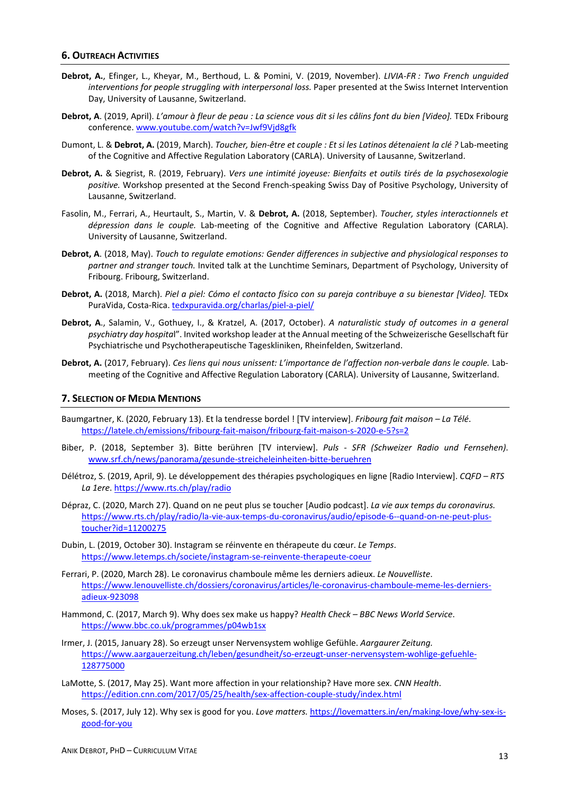#### **6. OUTREACH ACTIVITIES**

- **Debrot, A.**, Efinger, L., Kheyar, M., Berthoud, L. & Pomini, V. (2019, November). *LIVIA-FR : Two French unguided interventions for people struggling with interpersonal loss.* Paper presented at the Swiss Internet Intervention Day, University of Lausanne, Switzerland.
- **Debrot, A**. (2019, April). *L'amour à fleur de peau : La science vous dit si les câlins font du bien [Video].* TEDx Fribourg conference. [www.youtube.com/watch?v=Jwf9Vjd8gfk](http://www.youtube.com/watch?v=Jwf9Vjd8gfk)
- Dumont, L. & **Debrot, A.** (2019, March). *Toucher, bien-être et couple : Et si les Latinos détenaient la clé ?* Lab-meeting of the Cognitive and Affective Regulation Laboratory (CARLA). University of Lausanne, Switzerland.
- **Debrot, A.** & Siegrist, R. (2019, February). *Vers une intimité joyeuse: Bienfaits et outils tirés de la psychosexologie positive.* Workshop presented at the Second French-speaking Swiss Day of Positive Psychology, University of Lausanne, Switzerland.
- Fasolin, M., Ferrari, A., Heurtault, S., Martin, V. & **Debrot, A.** (2018, September). *Toucher, styles interactionnels et dépression dans le couple.* Lab-meeting of the Cognitive and Affective Regulation Laboratory (CARLA). University of Lausanne, Switzerland.
- **Debrot, A**. (2018, May). *Touch to regulate emotions: Gender differences in subjective and physiological responses to partner and stranger touch.* Invited talk at the Lunchtime Seminars, Department of Psychology, University of Fribourg. Fribourg, Switzerland.
- **Debrot, A.** (2018, March). *Piel a piel: Cómo el contacto físico con su pareja contribuye a su bienestar [Video].* TEDx PuraVida, Costa-Rica[. tedxpuravida.org/charlas/piel-a-piel/](https://tedxpuravida.org/charlas/piel-a-piel/)
- **Debrot, A**., Salamin, V., Gothuey, I., & Kratzel, A. (2017, October). *A naturalistic study of outcomes in a general psychiatry day hospita*l". Invited workshop leader at the Annual meeting of the Schweizerische Gesellschaft für Psychiatrische und Psychotherapeutische Tageskliniken, Rheinfelden, Switzerland.
- **Debrot, A.** (2017, February). *Ces liens qui nous unissent: L'importance de l'affection non-verbale dans le couple.* Labmeeting of the Cognitive and Affective Regulation Laboratory (CARLA). University of Lausanne, Switzerland.

#### **7. SELECTION OF MEDIA MENTIONS**

- Baumgartner, K. (2020, February 13). Et la tendresse bordel ! [TV interview]. *Fribourg fait maison – La Télé*. <https://latele.ch/emissions/fribourg-fait-maison/fribourg-fait-maison-s-2020-e-5?s=2>
- Biber, P. (2018, September 3). Bitte berühren [TV interview]. *Puls - SFR (Schweizer Radio und Fernsehen)*. [www.srf.ch/news/panorama/gesunde-streicheleinheiten-bitte-beruehren](https://www.srf.ch/news/panorama/gesunde-streicheleinheiten-bitte-beruehren)
- Délétroz, S. (2019, April, 9). Le développement des thérapies psychologiques en ligne [Radio Interview]. *CQFD – RTS La 1ere*.<https://www.rts.ch/play/radio>
- Dépraz, C. (2020, March 27). Quand on ne peut plus se toucher [Audio podcast]. *La vie aux temps du coronavirus.* [https://www.rts.ch/play/radio/la-vie-aux-temps-du-coronavirus/audio/episode-6--quand-on-ne-peut-plus](https://www.rts.ch/play/radio/la-vie-aux-temps-du-coronavirus/audio/episode-6--quand-on-ne-peut-plus-toucher?id=11200275)[toucher?id=11200275](https://www.rts.ch/play/radio/la-vie-aux-temps-du-coronavirus/audio/episode-6--quand-on-ne-peut-plus-toucher?id=11200275)
- Dubin, L. (2019, October 30). Instagram se réinvente en thérapeute du cœur. *Le Temps*. <https://www.letemps.ch/societe/instagram-se-reinvente-therapeute-coeur>
- Ferrari, P. (2020, March 28). Le coronavirus chamboule même les derniers adieux. *Le Nouvelliste*. [https://www.lenouvelliste.ch/dossiers/coronavirus/articles/le-coronavirus-chamboule-meme-les-derniers](https://www.lenouvelliste.ch/dossiers/coronavirus/articles/le-coronavirus-chamboule-meme-les-derniers-adieux-923098)[adieux-923098](https://www.lenouvelliste.ch/dossiers/coronavirus/articles/le-coronavirus-chamboule-meme-les-derniers-adieux-923098)
- Hammond, C. (2017, March 9). Why does sex make us happy? *Health Check – BBC News World Service*. <https://www.bbc.co.uk/programmes/p04wb1sx>
- Irmer, J. (2015, January 28). So erzeugt unser Nervensystem wohlige Gefühle. *Aargaurer Zeitung.* [https://www.aargauerzeitung.ch/leben/gesundheit/so-erzeugt-unser-nervensystem-wohlige-gefuehle-](https://www.aargauerzeitung.ch/leben/gesundheit/so-erzeugt-unser-nervensystem-wohlige-gefuehle-128775000)[128775000](https://www.aargauerzeitung.ch/leben/gesundheit/so-erzeugt-unser-nervensystem-wohlige-gefuehle-128775000)
- LaMotte, S. (2017, May 25). Want more affection in your relationship? Have more sex. *CNN Health*. <https://edition.cnn.com/2017/05/25/health/sex-affection-couple-study/index.html>
- Moses, S. (2017, July 12). Why sex is good for you. *Love matters.* [https://lovematters.in/en/making-love/why-sex-is](https://lovematters.in/en/making-love/why-sex-is-good-for-you)[good-for-you](https://lovematters.in/en/making-love/why-sex-is-good-for-you)